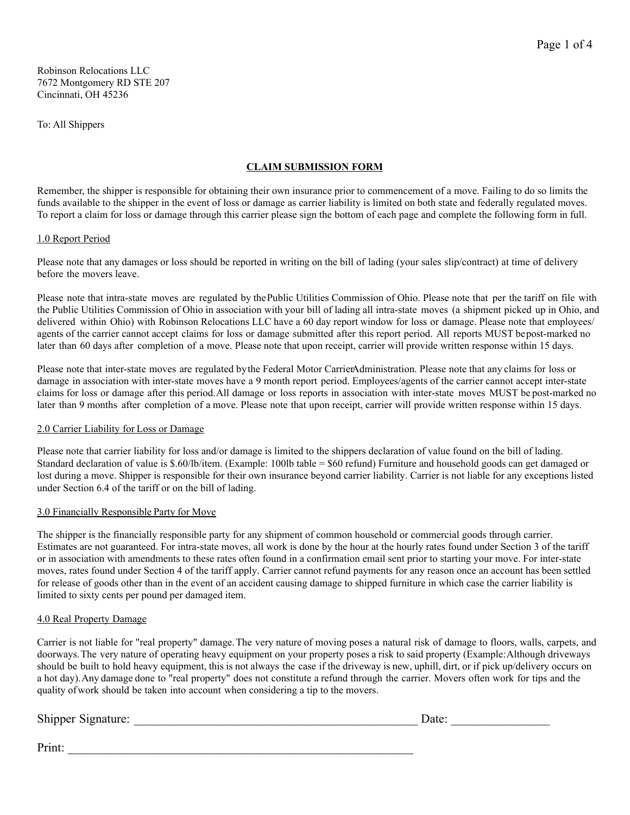Robinson Relocations LLC 7672 Montgomery RD STE 207 Cincinnati, OH 45236

To: All Shippers

# **CLAIM SUBMISSION FORM**

Remember, the shipper is responsible for obtaining their own insurance prior to commencement of a move. Failing to do so limits the funds available to the shipper in the event of loss or damage as carrier liability is limited on both state and federally regulated moves. To report a claim for loss or damage through this carrier please sign the bottom of each page and complete the following form in full.

## 1.0 Report Period

Please note that any damages or loss should be reported in writing on the bill of lading (your sales slip/contract) at time of delivery before the movers leave.

Please note that intra-state moves are regulated by the Public Utilities Commission of Ohio. Please note that per the tariff on file with the Public Utilities Commission of Ohio in association with your bill of lading all intra-state moves (a shipment picked up in Ohio, and delivered within Ohio) with Robinson Relocations LLC have a 60 day report window for loss or damage. Please note that employees/ agents of the carrier cannot accept claims for loss or damage submitted after this report period. All reports MUST be post-marked no later than 60 days after completion of a move. Please note that upon receipt, carrier will provide written response within 15 days.

Please note that inter-state moves are regulated by the Federal Motor CarrierAdministration. Please note that any claims for loss or damage in association with inter-state moves have a 9 month report period. Employees/agents of the carrier cannot accept inter-state claims for loss or damage after this period. All damage or loss reports in association with inter-state moves MUST be post-marked no later than 9 months after completion of a move. Please note that upon receipt, carrier will provide written response within 15 days.

#### 2.0 Carrier Liability for Loss or Damage

Please note that carrier liability for loss and/or damage is limited to the shippers declaration of value found on the bill of lading. Standard declaration of value is \$.60/lb/item. (Example: 100lb table = \$60 refund) Furniture and household goods can get damaged or lost during a move. Shipper is responsible for their own insurance beyond carrier liability. Carrier is not liable for any exceptions listed under Section 6.4 of the tariff or on the bill of lading.

## 3.0 Financially Responsible Party for Move

The shipper is the financially responsible party for any shipment of common household or commercial goods through carrier. Estimates are not guaranteed. For intra-state moves, all work is done by the hour at the hourly rates found under Section 3 of the tariff or in association with amendments to these rates often found in a confirmation email sent prior to starting your move. For inter-state moves, rates found under Section 4 of the tariff apply. Carrier cannot refund payments for any reason once an account has been settled for release of goods other than in the event of an accident causing damage to shipped furniture in which case the carrier liability is limited to sixty cents per pound per damaged item.

#### 4.0 Real Property Damage

Carrier is not liable for "real property" damage. The very nature of moving poses a natural risk of damage to floors, walls, carpets, and doorways. The very nature of operating heavy equipment on your property poses a risk to said property (Example: Although driveways should be built to hold heavy equipment, this is not always the case if the driveway is new, uphill, dirt, or if pick up/delivery occurs on a hot day). Any damage done to "real property" does not constitute a refund through the carrier. Movers often work for tips and the quality of work should be taken into account when considering a tip to the movers.

# Shipper Signature: \_\_\_\_\_\_\_\_\_\_\_\_\_\_\_\_\_\_\_\_\_\_\_\_\_\_\_\_\_\_\_\_\_\_\_\_\_\_\_\_\_\_\_\_\_\_ Date: \_\_\_\_\_\_\_\_\_\_\_\_\_\_\_\_

Page 1 of 4

Print: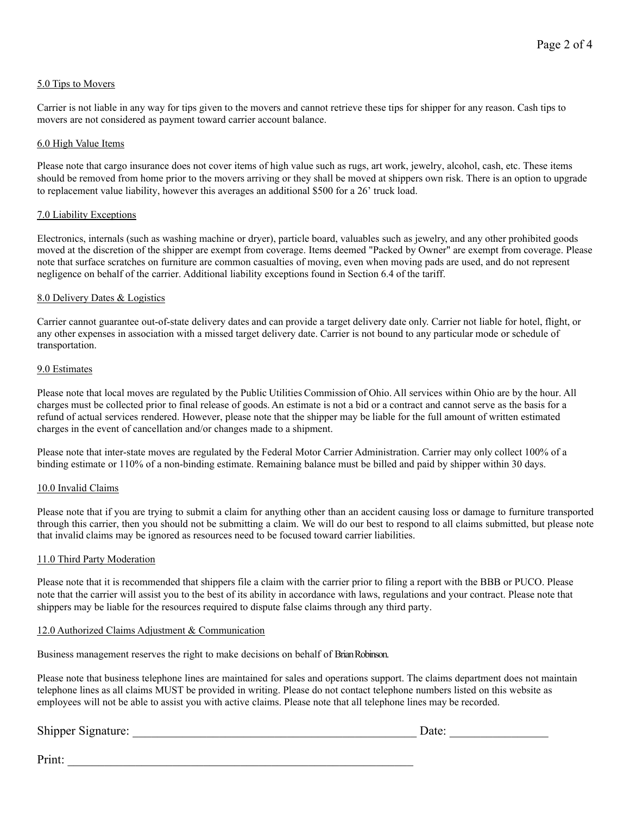## 5.0 Tips to Movers

Carrier is not liable in any way for tips given to the movers and cannot retrieve these tips for shipper for any reason. Cash tips to movers are not considered as payment toward carrier account balance.

#### 6.0 High Value Items

Please note that cargo insurance does not cover items of high value such as rugs, art work, jewelry, alcohol, cash, etc. These items should be removed from home prior to the movers arriving or they shall be moved at shippers own risk. There is an option to upgrade to replacement value liability, however this averages an additional \$500 for a 26' truck load.

## 7.0 Liability Exceptions

Electronics, internals (such as washing machine or dryer), particle board, valuables such as jewelry, and any other prohibited goods moved at the discretion of the shipper are exempt from coverage. Items deemed "Packed by Owner" are exempt from coverage. Please note that surface scratches on furniture are common casualties of moving, even when moving pads are used, and do not represent negligence on behalf of the carrier. Additional liability exceptions found in Section 6.4 of the tariff.

#### 8.0 Delivery Dates & Logistics

Carrier cannot guarantee out-of-state delivery dates and can provide a target delivery date only. Carrier not liable for hotel, flight, or any other expenses in association with a missed target delivery date. Carrier is not bound to any particular mode or schedule of transportation.

#### 9.0 Estimates

Please note that local moves are regulated by the Public Utilities Commission of Ohio. All services within Ohio are by the hour. All charges must be collected prior to final release of goods. An estimate is not a bid or a contract and cannot serve as the basis for a refund of actual services rendered. However, please note that the shipper may be liable for the full amount of written estimated charges in the event of cancellation and/or changes made to a shipment.

Please note that inter-state moves are regulated by the Federal Motor Carrier Administration. Carrier may only collect 100% of a binding estimate or 110% of a non-binding estimate. Remaining balance must be billed and paid by shipper within 30 days.

#### 10.0 Invalid Claims

Please note that if you are trying to submit a claim for anything other than an accident causing loss or damage to furniture transported through this carrier, then you should not be submitting a claim. We will do our best to respond to all claims submitted, but please note that invalid claims may be ignored as resources need to be focused toward carrier liabilities.

## 11.0 Third Party Moderation

Please note that it is recommended that shippers file a claim with the carrier prior to filing a report with the BBB or PUCO. Please note that the carrier will assist you to the best of its ability in accordance with laws, regulations and your contract. Please note that shippers may be liable for the resources required to dispute false claims through any third party.

## 12.0 Authorized Claims Adjustment & Communication

Business management reserves the right to make decisions on behalf of Brian Robinson.

Please note that business telephone lines are maintained for sales and operations support. The claims department does not maintain telephone lines as all claims MUST be provided in writing. Please do not contact telephone numbers listed on this website as employees will not be able to assist you with active claims. Please note that all telephone lines may be recorded.

# Shipper Signature: \_\_\_\_\_\_\_\_\_\_\_\_\_\_\_\_\_\_\_\_\_\_\_\_\_\_\_\_\_\_\_\_\_\_\_\_\_\_\_\_\_\_\_\_\_\_ Date: \_\_\_\_\_\_\_\_\_\_\_\_\_\_\_\_

| ıfο٠<br>ilU. |  |  |  |  |  |
|--------------|--|--|--|--|--|
|              |  |  |  |  |  |

Print:  $\frac{1}{\sqrt{2\pi}}$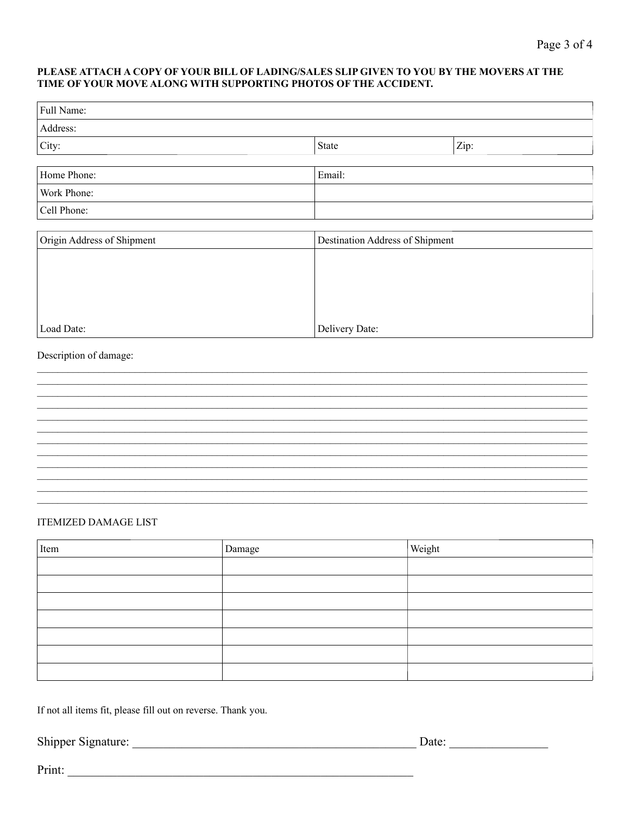#### PLEASE ATTACH A COPY OF YOUR BILL OF LADING/SALES SLIP GIVEN TO YOU BY THE MOVERS AT THE TIME OF YOUR MOVE ALONG WITH SUPPORTING PHOTOS OF THE ACCIDENT.

| Full Name:                  |  |                |                                 |  |  |  |
|-----------------------------|--|----------------|---------------------------------|--|--|--|
| Address:                    |  |                |                                 |  |  |  |
| City:                       |  | State          | Zip:                            |  |  |  |
|                             |  |                |                                 |  |  |  |
| Home Phone:                 |  |                | Email:                          |  |  |  |
| Work Phone:<br>Cell Phone:  |  |                |                                 |  |  |  |
|                             |  |                |                                 |  |  |  |
| Origin Address of Shipment  |  |                | Destination Address of Shipment |  |  |  |
|                             |  |                |                                 |  |  |  |
|                             |  |                |                                 |  |  |  |
|                             |  |                |                                 |  |  |  |
|                             |  |                |                                 |  |  |  |
| Load Date:                  |  | Delivery Date: |                                 |  |  |  |
| Description of damage:      |  |                |                                 |  |  |  |
|                             |  |                |                                 |  |  |  |
|                             |  |                |                                 |  |  |  |
|                             |  |                |                                 |  |  |  |
|                             |  |                |                                 |  |  |  |
|                             |  |                |                                 |  |  |  |
|                             |  |                |                                 |  |  |  |
|                             |  |                |                                 |  |  |  |
|                             |  |                |                                 |  |  |  |
|                             |  |                |                                 |  |  |  |
| <b>ITEMIZED DAMAGE LIST</b> |  |                |                                 |  |  |  |
| Item<br>Damage              |  |                | Weight                          |  |  |  |
|                             |  |                |                                 |  |  |  |
|                             |  |                |                                 |  |  |  |

If not all items fit, please fill out on reverse. Thank you.